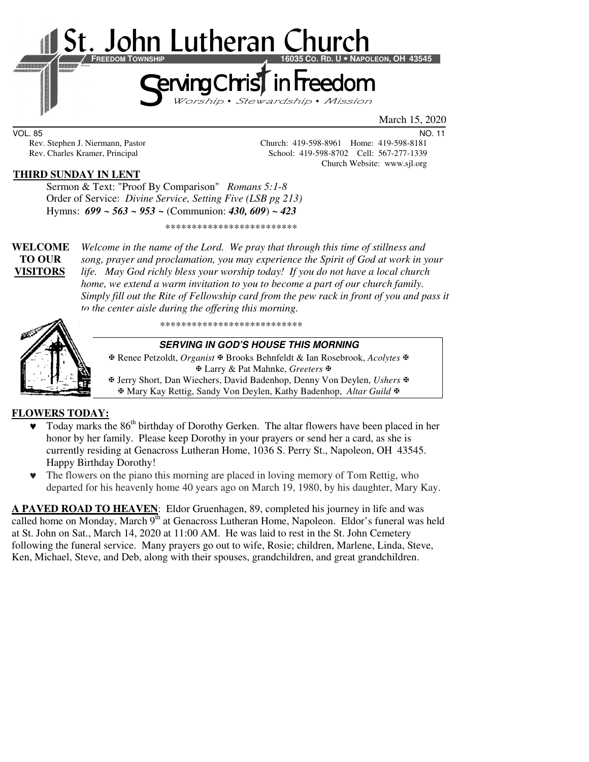

March 15, 2020

VOL. 85 NO. 11

Rev. Stephen J. Niermann, Pastor Church: 419-598-8961 Home: 419-598-8181<br>Rev. Charles Kramer, Principal School: 419-598-8702 Cell: 567-277-1339 School: 419-598-8702 Cell: 567-277-1339 Church Website: www.sjl.org

# **THIRD SUNDAY IN LENT**

 Sermon & Text: "Proof By Comparison" *Romans 5:1-8* Order of Service: *Divine Service, Setting Five (LSB pg 213)* Hymns: *699 ~ 563 ~ 953 ~* (Communion: *430, 609*) *~ 423*

\*\*\*\*\*\*\*\*\*\*\*\*\*\*\*\*\*\*\*\*\*\*\*\*\*

**WELCOME** *Welcome in the name of the Lord. We pray that through this time of stillness and* **TO OUR** *song, prayer and proclamation, you may experience the Spirit of God at work in your*  **VISITORS** *life. May God richly bless your worship today! If you do not have a local church home, we extend a warm invitation to you to become a part of our church family. Simply fill out the Rite of Fellowship card from the pew rack in front of you and pass it to the center aisle during the offering this morning.* 



\*\*\*\*\*\*\*\*\*\*\*\*\*\*\*\*\*\*\*\*\*\*\*\*\*\*\*

#### **SERVING IN GOD'S HOUSE THIS MORNING**

 Renee Petzoldt, *Organist* Brooks Behnfeldt & Ian Rosebrook, *Acolytes* Larry & Pat Mahnke, *Greeters*

 Jerry Short, Dan Wiechers, David Badenhop, Denny Von Deylen, *Ushers* Mary Kay Rettig, Sandy Von Deylen, Kathy Badenhop, *Altar Guild*

# **FLOWERS TODAY:**

- $\blacktriangledown$  Today marks the 86<sup>th</sup> birthday of Dorothy Gerken. The altar flowers have been placed in her honor by her family. Please keep Dorothy in your prayers or send her a card, as she is currently residing at Genacross Lutheran Home, 1036 S. Perry St., Napoleon, OH 43545. Happy Birthday Dorothy!
- ♥ The flowers on the piano this morning are placed in loving memory of Tom Rettig, who departed for his heavenly home 40 years ago on March 19, 1980, by his daughter, Mary Kay.

**A PAVED ROAD TO HEAVEN**: Eldor Gruenhagen, 89, completed his journey in life and was called home on Monday, March 9<sup>th</sup> at Genacross Lutheran Home, Napoleon. Eldor's funeral was held at St. John on Sat., March 14, 2020 at 11:00 AM. He was laid to rest in the St. John Cemetery following the funeral service. Many prayers go out to wife, Rosie; children, Marlene, Linda, Steve, Ken, Michael, Steve, and Deb, along with their spouses, grandchildren, and great grandchildren.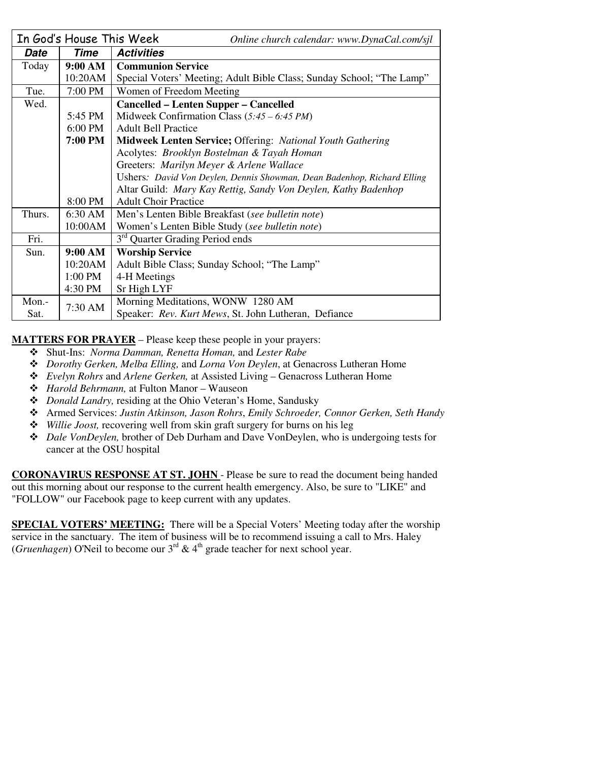| In God's House This Week |         | Online church calendar: www.DynaCal.com/sjl                             |
|--------------------------|---------|-------------------------------------------------------------------------|
| Date                     | Time    | <b>Activities</b>                                                       |
| Today                    | 9:00 AM | <b>Communion Service</b>                                                |
|                          | 10:20AM | Special Voters' Meeting; Adult Bible Class; Sunday School; "The Lamp"   |
| Tue.                     | 7:00 PM | Women of Freedom Meeting                                                |
| Wed.                     |         | <b>Cancelled – Lenten Supper – Cancelled</b>                            |
|                          | 5:45 PM | Midweek Confirmation Class $(5:45 - 6:45 PM)$                           |
|                          | 6:00 PM | <b>Adult Bell Practice</b>                                              |
|                          | 7:00 PM | <b>Midweek Lenten Service; Offering: National Youth Gathering</b>       |
|                          |         | Acolytes: Brooklyn Bostelman & Tayah Homan                              |
|                          |         | Greeters: Marilyn Meyer & Arlene Wallace                                |
|                          |         | Ushers: David Von Deylen, Dennis Showman, Dean Badenhop, Richard Elling |
|                          |         | Altar Guild: Mary Kay Rettig, Sandy Von Deylen, Kathy Badenhop          |
|                          | 8:00 PM | <b>Adult Choir Practice</b>                                             |
| Thurs.                   | 6:30 AM | Men's Lenten Bible Breakfast (see bulletin note)                        |
|                          | 10:00AM | Women's Lenten Bible Study (see bulletin note)                          |
| Fri.                     |         | 3 <sup>rd</sup> Quarter Grading Period ends                             |
| Sun.                     | 9:00 AM | <b>Worship Service</b>                                                  |
|                          | 10:20AM | Adult Bible Class; Sunday School; "The Lamp"                            |
|                          | 1:00 PM | 4-H Meetings                                                            |
|                          | 4:30 PM | Sr High LYF                                                             |
| Mon.-                    | 7:30 AM | Morning Meditations, WONW 1280 AM                                       |
| Sat.                     |         | Speaker: Rev. Kurt Mews, St. John Lutheran, Defiance                    |

**MATTERS FOR PRAYER** – Please keep these people in your prayers:

- Shut-Ins: *Norma Damman, Renetta Homan,* and *Lester Rabe*
- *Dorothy Gerken, Melba Elling,* and *Lorna Von Deylen*, at Genacross Lutheran Home
- *Evelyn Rohrs* and *Arlene Gerken,* at Assisted Living Genacross Lutheran Home
- *Harold Behrmann,* at Fulton Manor Wauseon
- *Donald Landry,* residing at the Ohio Veteran's Home, Sandusky
- Armed Services: *Justin Atkinson, Jason Rohrs*, *Emily Schroeder, Connor Gerken, Seth Handy*
- *Willie Joost,* recovering well from skin graft surgery for burns on his leg
- *Dale VonDeylen,* brother of Deb Durham and Dave VonDeylen, who is undergoing tests for cancer at the OSU hospital

**CORONAVIRUS RESPONSE AT ST. JOHN** - Please be sure to read the document being handed out this morning about our response to the current health emergency. Also, be sure to "LIKE" and "FOLLOW" our Facebook page to keep current with any updates.

**SPECIAL VOTERS' MEETING:** There will be a Special Voters' Meeting today after the worship service in the sanctuary. The item of business will be to recommend issuing a call to Mrs. Haley (*Gruenhagen*) O'Neil to become our  $3^{rd}$  &  $4^{th}$  grade teacher for next school year.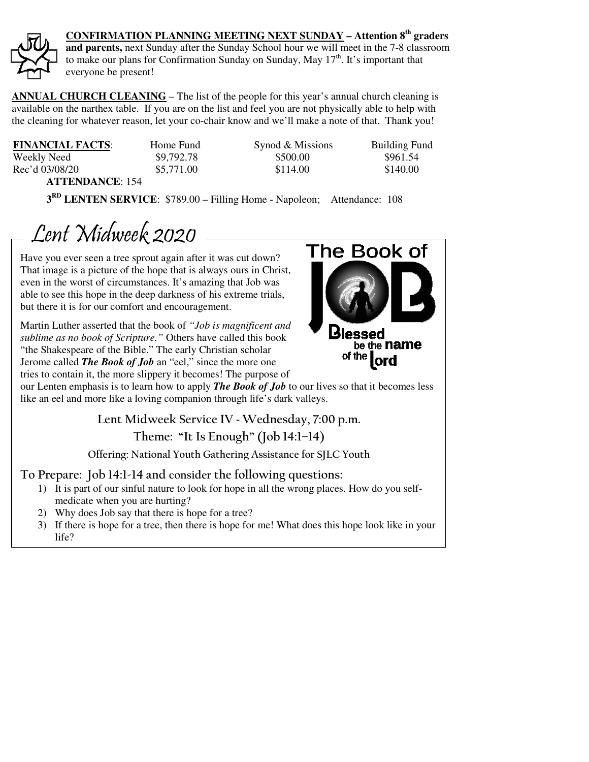

**CONFIRMATION PLANNING MEETING NEXT SUNDAY – Attention 8th graders** 

**and parents,** next Sunday after the Sunday School hour we will meet in the 7-8 classroom to make our plans for Confirmation Sunday on Sunday, May  $17<sup>th</sup>$ . It's important that everyone be present!

**ANNUAL CHURCH CLEANING** – The list of the people for this year's annual church cleaning is available on the narthex table. If you are on the list and feel you are not physically able to help with the cleaning for whatever reason, let your co-chair know and we'll make a note of that. Thank you!

**FINANCIAL FACTS:** Home Fund Synod & Missions Building Fund Weekly Need \$9,792.78 \$500.00 \$961.54 Rec'd 03/08/20 \$5,771.00 \$114.00 \$140.00 **ATTENDANCE**: 154

**3 RD LENTEN SERVICE**: \$789.00 – Filling Home - Napoleon; Attendance: 108

Lent Midweek 2020

Have you ever seen a tree sprout again after it was cut down? That image is a picture of the hope that is always ours in Christ, even in the worst of circumstances. It's amazing that Job was able to see this hope in the deep darkness of his extreme trials, but there it is for our comfort and encouragement.

Martin Luther asserted that the book of *"Job is magnificent and sublime as no book of Scripture."* Others have called this book "the Shakespeare of the Bible." The early Christian scholar Jerome called *The Book of Job* an "eel," since the more one tries to contain it, the more slippery it becomes! The purpose of



our Lenten emphasis is to learn how to apply *The Book of Job* to our lives so that it becomes less like an eel and more like a loving companion through life's dark valleys.

**Lent Midweek Service IV ~ Wednesday, 7:00 p.m.** 

**Theme: "It Is Enough" (Job 14:1–14)** 

**Offering: National Youth Gathering Assistance for SJLC Youth** 

# **To Prepare: Job 14:1-14 and consider the following questions:**

- 1) It is part of our sinful nature to look for hope in all the wrong places. How do you selfmedicate when you are hurting?
- 2) Why does Job say that there is hope for a tree?
- 3) If there is hope for a tree, then there is hope for me! What does this hope look like in your life?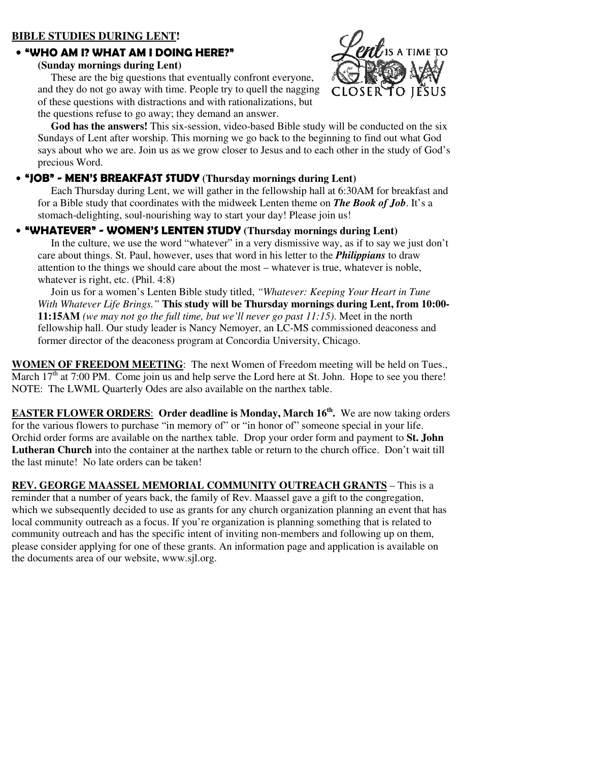# **BIBLE STUDIES DURING LENT!**

#### • **"WHO AM I? WHAT AM I DOING HERE?"**

#### **(Sunday mornings during Lent)**

 These are the big questions that eventually confront everyone, and they do not go away with time. People try to quell the nagging of these questions with distractions and with rationalizations, but the questions refuse to go away; they demand an answer.



 **God has the answers!** This six-session, video-based Bible study will be conducted on the six Sundays of Lent after worship. This morning we go back to the beginning to find out what God says about who we are. Join us as we grow closer to Jesus and to each other in the study of God's precious Word.

### • **"JOB" - MEN'S BREAKFAST STUDY (Thursday mornings during Lent)**

 Each Thursday during Lent, we will gather in the fellowship hall at 6:30AM for breakfast and for a Bible study that coordinates with the midweek Lenten theme on *The Book of Job*. It's a stomach-delighting, soul-nourishing way to start your day! Please join us!

# • **"WHATEVER" - WOMEN'S LENTEN STUDY (Thursday mornings during Lent)**

 In the culture, we use the word "whatever" in a very dismissive way, as if to say we just don't care about things. St. Paul, however, uses that word in his letter to the *Philippians* to draw attention to the things we should care about the most – whatever is true, whatever is noble, whatever is right, etc. (Phil. 4:8)

 Join us for a women's Lenten Bible study titled, *"Whatever: Keeping Your Heart in Tune With Whatever Life Brings."* **This study will be Thursday mornings during Lent, from 10:00- 11:15AM** *(we may not go the full time, but we'll never go past 11:15)*. Meet in the north fellowship hall. Our study leader is Nancy Nemoyer, an LC-MS commissioned deaconess and former director of the deaconess program at Concordia University, Chicago.

**WOMEN OF FREEDOM MEETING**: The next Women of Freedom meeting will be held on Tues., March  $17<sup>th</sup>$  at 7:00 PM. Come join us and help serve the Lord here at St. John. Hope to see you there! NOTE: The LWML Quarterly Odes are also available on the narthex table.

**EASTER FLOWER ORDERS**: **Order deadline is Monday, March 16th .** We are now taking orders for the various flowers to purchase "in memory of" or "in honor of" someone special in your life. Orchid order forms are available on the narthex table. Drop your order form and payment to **St. John Lutheran Church** into the container at the narthex table or return to the church office. Don't wait till the last minute! No late orders can be taken!

**REV. GEORGE MAASSEL MEMORIAL COMMUNITY OUTREACH GRANTS** – This is a reminder that a number of years back, the family of Rev. Maassel gave a gift to the congregation, which we subsequently decided to use as grants for any church organization planning an event that has local community outreach as a focus. If you're organization is planning something that is related to community outreach and has the specific intent of inviting non-members and following up on them, please consider applying for one of these grants. An information page and application is available on the documents area of our website, www.sjl.org.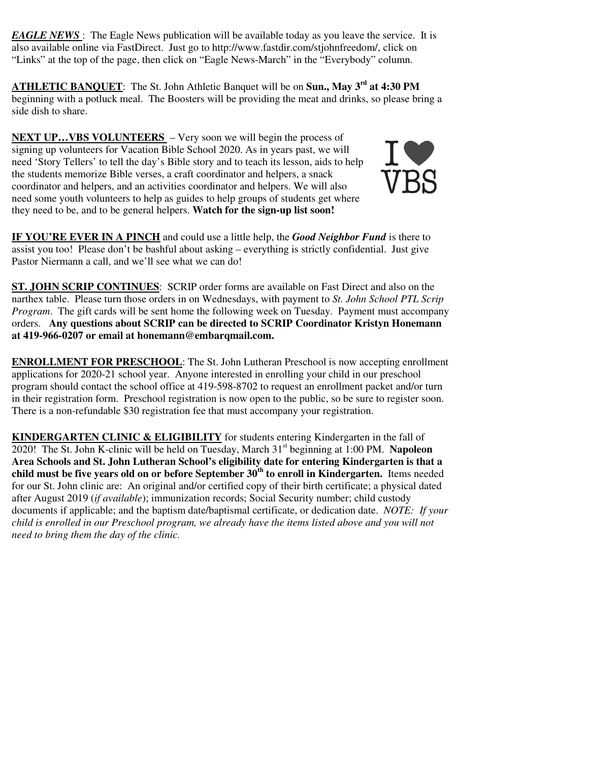*EAGLE NEWS*: The Eagle News publication will be available today as you leave the service. It is also available online via FastDirect. Just go to http://www.fastdir.com/stjohnfreedom/, click on "Links" at the top of the page, then click on "Eagle News-March" in the "Everybody" column.

**ATHLETIC BANQUET**: The St. John Athletic Banquet will be on **Sun., May 3rd at 4:30 PM**  beginning with a potluck meal. The Boosters will be providing the meat and drinks, so please bring a side dish to share.

**NEXT UP…VBS VOLUNTEERS** – Very soon we will begin the process of signing up volunteers for Vacation Bible School 2020. As in years past, we will need 'Story Tellers' to tell the day's Bible story and to teach its lesson, aids to help the students memorize Bible verses, a craft coordinator and helpers, a snack coordinator and helpers, and an activities coordinator and helpers. We will also need some youth volunteers to help as guides to help groups of students get where they need to be, and to be general helpers. **Watch for the sign-up list soon!**



**IF YOU'RE EVER IN A PINCH** and could use a little help, the *Good Neighbor Fund* is there to assist you too! Please don't be bashful about asking – everything is strictly confidential. Just give Pastor Niermann a call, and we'll see what we can do!

**ST. JOHN SCRIP CONTINUES**: SCRIP order forms are available on Fast Direct and also on the narthex table. Please turn those orders in on Wednesdays, with payment to *St. John School PTL Scrip Program*. The gift cards will be sent home the following week on Tuesday. Payment must accompany orders. **Any questions about SCRIP can be directed to SCRIP Coordinator Kristyn Honemann at 419-966-0207 or email at honemann@embarqmail.com.** 

**ENROLLMENT FOR PRESCHOOL**: The St. John Lutheran Preschool is now accepting enrollment applications for 2020-21 school year. Anyone interested in enrolling your child in our preschool program should contact the school office at 419-598-8702 to request an enrollment packet and/or turn in their registration form. Preschool registration is now open to the public, so be sure to register soon. There is a non-refundable \$30 registration fee that must accompany your registration.

**KINDERGARTEN CLINIC & ELIGIBILITY** for students entering Kindergarten in the fall of 2020! The St. John K-clinic will be held on Tuesday, March 31st beginning at 1:00 PM. **Napoleon Area Schools and St. John Lutheran School's eligibility date for entering Kindergarten is that a child must be five years old on or before September 30th to enroll in Kindergarten.** Items needed for our St. John clinic are: An original and/or certified copy of their birth certificate; a physical dated after August 2019 (*if available*); immunization records; Social Security number; child custody documents if applicable; and the baptism date/baptismal certificate, or dedication date. *NOTE: If your child is enrolled in our Preschool program, we already have the items listed above and you will not need to bring them the day of the clinic.*